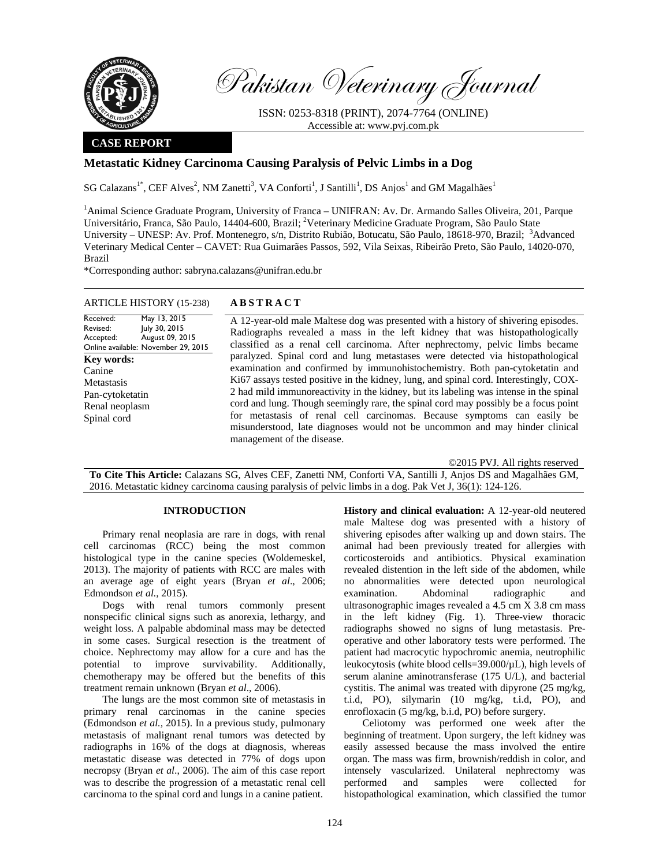

Received: Revised: Accepted:

**Key words:**  Canine Metastasis Pan-cytoketatin Renal neoplasm Spinal cord

Pakistan Veterinary Journal

ISSN: 0253-8318 (PRINT), 2074-7764 (ONLINE) Accessible at: www.pvj.com.pk

### **CASE REPORT**

# **Metastatic Kidney Carcinoma Causing Paralysis of Pelvic Limbs in a Dog**

SG Calazans<sup>1\*</sup>, CEF Alves<sup>2</sup>, NM Zanetti<sup>3</sup>, VA Conforti<sup>1</sup>, J Santilli<sup>1</sup>, DS Anjos<sup>1</sup> and GM Magalhães<sup>1</sup>

<sup>1</sup> Animal Science Graduate Program, University of Franca – UNIFRAN: Av. Dr. Armando Salles Oliveira, 201, Parque Universitário, Franca, São Paulo, 14404-600, Brazil; <sup>2</sup>Veterinary Medicine Graduate Program, São Paulo State University – UNESP: Av. Prof. Montenegro, s/n, Distrito Rubião, Botucatu, São Paulo, 18618-970, Brazil; <sup>3</sup>Advanced Veterinary Medical Center – CAVET: Rua Guimarães Passos, 592, Vila Seixas, Ribeirão Preto, São Paulo, 14020-070, Brazil

\*Corresponding author: sabryna.calazans@unifran.edu.br

## ARTICLE HISTORY (15-238) **ABSTRACT**

May 13, 2015 July 30, 2015 August 09, 2015

Online available: November 29, 2015 A 12-year-old male Maltese dog was presented with a history of shivering episodes. Radiographs revealed a mass in the left kidney that was histopathologically classified as a renal cell carcinoma. After nephrectomy, pelvic limbs became paralyzed. Spinal cord and lung metastases were detected via histopathological examination and confirmed by immunohistochemistry. Both pan-cytoketatin and Ki67 assays tested positive in the kidney, lung, and spinal cord. Interestingly, COX-2 had mild immunoreactivity in the kidney, but its labeling was intense in the spinal cord and lung. Though seemingly rare, the spinal cord may possibly be a focus point for metastasis of renal cell carcinomas. Because symptoms can easily be misunderstood, late diagnoses would not be uncommon and may hinder clinical management of the disease.

©2015 PVJ. All rights reserved

**To Cite This Article:** Calazans SG, Alves CEF, Zanetti NM, Conforti VA, Santilli J, Anjos DS and Magalhães GM, 2016. Metastatic kidney carcinoma causing paralysis of pelvic limbs in a dog. Pak Vet J, 36(1): 124-126.

### **INTRODUCTION**

Primary renal neoplasia are rare in dogs, with renal cell carcinomas (RCC) being the most common histological type in the canine species (Woldemeskel, 2013). The majority of patients with RCC are males with an average age of eight years (Bryan *et al*., 2006; Edmondson *et al.,* 2015).

Dogs with renal tumors commonly present nonspecific clinical signs such as anorexia, lethargy, and weight loss. A palpable abdominal mass may be detected in some cases. Surgical resection is the treatment of choice. Nephrectomy may allow for a cure and has the potential to improve survivability. Additionally, chemotherapy may be offered but the benefits of this treatment remain unknown (Bryan *et al*., 2006).

The lungs are the most common site of metastasis in primary renal carcinomas in the canine species (Edmondson *et al.,* 2015). In a previous study, pulmonary metastasis of malignant renal tumors was detected by radiographs in 16% of the dogs at diagnosis, whereas metastatic disease was detected in 77% of dogs upon necropsy (Bryan *et al*., 2006). The aim of this case report was to describe the progression of a metastatic renal cell carcinoma to the spinal cord and lungs in a canine patient.

**History and clinical evaluation:** A 12-year-old neutered male Maltese dog was presented with a history of shivering episodes after walking up and down stairs. The animal had been previously treated for allergies with corticosteroids and antibiotics. Physical examination revealed distention in the left side of the abdomen, while no abnormalities were detected upon neurological examination. Abdominal radiographic and ultrasonographic images revealed a 4.5 cm X 3.8 cm mass in the left kidney (Fig. 1). Three-view thoracic radiographs showed no signs of lung metastasis. Preoperative and other laboratory tests were performed. The patient had macrocytic hypochromic anemia, neutrophilic leukocytosis (white blood cells=39.000/µL), high levels of serum alanine aminotransferase (175 U/L), and bacterial cystitis. The animal was treated with dipyrone (25 mg/kg, t.i.d, PO), silymarin (10 mg/kg, t.i.d, PO), and enrofloxacin (5 mg/kg, b.i.d, PO) before surgery.

Celiotomy was performed one week after the beginning of treatment. Upon surgery, the left kidney was easily assessed because the mass involved the entire organ. The mass was firm, brownish/reddish in color, and intensely vascularized. Unilateral nephrectomy was performed and samples were collected for histopathological examination, which classified the tumor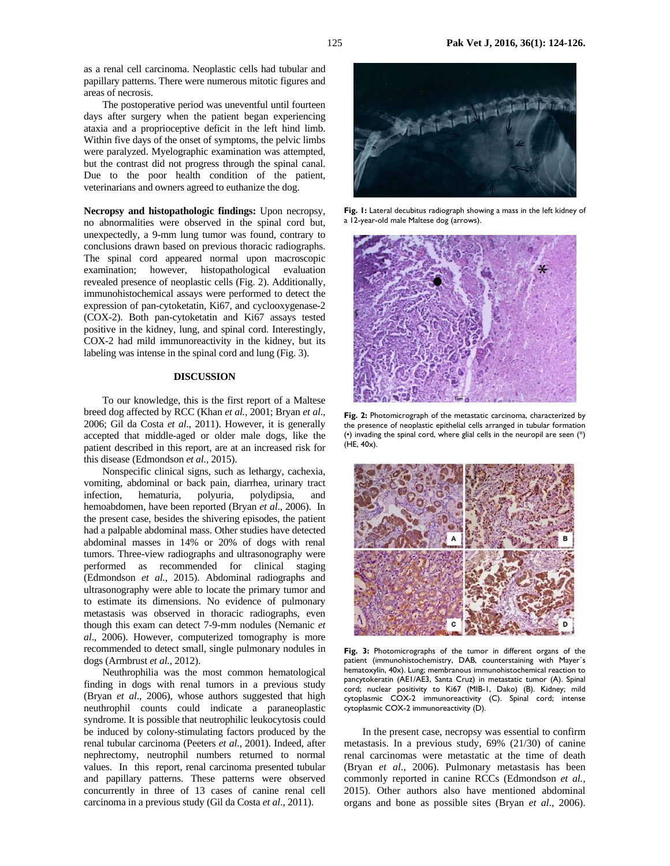as a renal cell carcinoma. Neoplastic cells had tubular and papillary patterns. There were numerous mitotic figures and areas of necrosis.

The postoperative period was uneventful until fourteen days after surgery when the patient began experiencing ataxia and a proprioceptive deficit in the left hind limb. Within five days of the onset of symptoms, the pelvic limbs were paralyzed. Myelographic examination was attempted, but the contrast did not progress through the spinal canal. Due to the poor health condition of the patient, veterinarians and owners agreed to euthanize the dog.

**Necropsy and histopathologic findings:** Upon necropsy, no abnormalities were observed in the spinal cord but, unexpectedly, a 9-mm lung tumor was found, contrary to conclusions drawn based on previous thoracic radiographs. The spinal cord appeared normal upon macroscopic examination; however, histopathological evaluation revealed presence of neoplastic cells (Fig. 2). Additionally, immunohistochemical assays were performed to detect the expression of pan-cytoketatin, Ki67, and cyclooxygenase-2 (COX-2). Both pan-cytoketatin and Ki67 assays tested positive in the kidney, lung, and spinal cord. Interestingly, COX-2 had mild immunoreactivity in the kidney, but its labeling was intense in the spinal cord and lung (Fig. 3).

#### **DISCUSSION**

To our knowledge, this is the first report of a Maltese breed dog affected by RCC (Khan *et al.,* 2001; Bryan *et al*., 2006; Gil da Costa *et al*., 2011). However, it is generally accepted that middle-aged or older male dogs, like the patient described in this report, are at an increased risk for this disease (Edmondson *et al.,* 2015).

Nonspecific clinical signs, such as lethargy, cachexia, vomiting, abdominal or back pain, diarrhea, urinary tract infection, hematuria, polyuria, polydipsia, and hemoabdomen, have been reported (Bryan *et al*., 2006). In the present case, besides the shivering episodes, the patient had a palpable abdominal mass. Other studies have detected abdominal masses in 14% or 20% of dogs with renal tumors. Three-view radiographs and ultrasonography were performed as recommended for clinical staging (Edmondson *et al.,* 2015). Abdominal radiographs and ultrasonography were able to locate the primary tumor and to estimate its dimensions. No evidence of pulmonary metastasis was observed in thoracic radiographs, even though this exam can detect 7-9-mm nodules (Nemanic *et al*., 2006). However, computerized tomography is more recommended to detect small, single pulmonary nodules in dogs (Armbrust *et al.,* 2012).

Neuthrophilia was the most common hematological finding in dogs with renal tumors in a previous study (Bryan *et al*., 2006), whose authors suggested that high neuthrophil counts could indicate a paraneoplastic syndrome. It is possible that neutrophilic leukocytosis could be induced by colony-stimulating factors produced by the renal tubular carcinoma (Peeters *et al.,* 2001). Indeed, after nephrectomy, neutrophil numbers returned to normal values. In this report, renal carcinoma presented tubular and papillary patterns. These patterns were observed concurrently in three of 13 cases of canine renal cell carcinoma in a previous study (Gil da Costa *et al*., 2011).



Fig. 1: Lateral decubitus radiograph showing a mass in the left kidney of a 12-year-old male Maltese dog (arrows).



**Fig. 2:** Photomicrograph of the metastatic carcinoma, characterized by the presence of neoplastic epithelial cells arranged in tubular formation (•) invading the spinal cord, where glial cells in the neuropil are seen (\*) (HE, 40x).



**Fig. 3:** Photomicrographs of the tumor in different organs of the patient (immunohistochemistry, DAB, counterstaining with Mayer´s hematoxylin, 40x). Lung; membranous immunohistochemical reaction to pancytokeratin (AE1/AE3, Santa Cruz) in metastatic tumor (A). Spinal cord; nuclear positivity to Ki67 (MIB-1, Dako) (B). Kidney; mild cytoplasmic COX-2 immunoreactivity (C). Spinal cord; intense cytoplasmic COX-2 immunoreactivity (D).

In the present case, necropsy was essential to confirm metastasis. In a previous study, 69% (21/30) of canine renal carcinomas were metastatic at the time of death (Bryan *et al*., 2006). Pulmonary metastasis has been commonly reported in canine RCCs (Edmondson *et al.,*  2015). Other authors also have mentioned abdominal organs and bone as possible sites (Bryan *et al*., 2006).